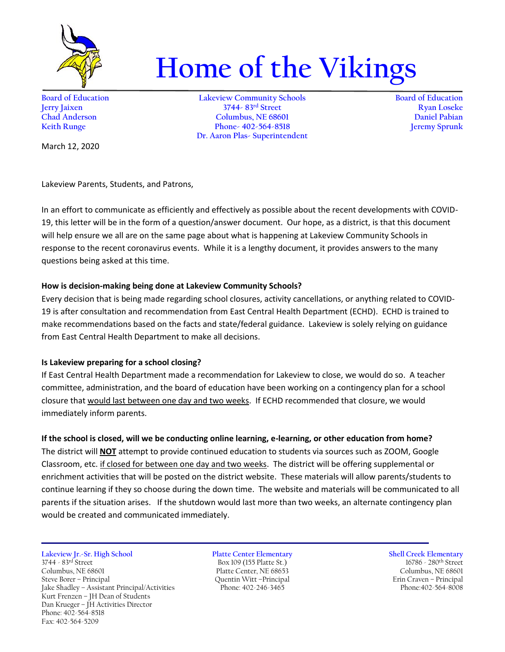

# **Home of the Vikings**

**Board of Education Lakeview Community Schools Board of Education Jerry Jaixen 3744- 83rd Street Ryan Loseke Chad Anderson Columbus, NE 68601 Daniel Pabian Keith Runge Phone- 402-564-8518 Dr. Aaron Plas- Superintendent**

March 12, 2020

Lakeview Parents, Students, and Patrons,

In an effort to communicate as efficiently and effectively as possible about the recent developments with COVID-19, this letter will be in the form of a question/answer document. Our hope, as a district, is that this document will help ensure we all are on the same page about what is happening at Lakeview Community Schools in response to the recent coronavirus events. While it is a lengthy document, it provides answers to the many questions being asked at this time.

## **How is decision-making being done at Lakeview Community Schools?**

Every decision that is being made regarding school closures, activity cancellations, or anything related to COVID-19 is after consultation and recommendation from East Central Health Department (ECHD). ECHD is trained to make recommendations based on the facts and state/federal guidance. Lakeview is solely relying on guidance from East Central Health Department to make all decisions.

# **Is Lakeview preparing for a school closing?**

If East Central Health Department made a recommendation for Lakeview to close, we would do so. A teacher committee, administration, and the board of education have been working on a contingency plan for a school closure that would last between one day and two weeks. If ECHD recommended that closure, we would immediately inform parents.

# **If the school is closed, will we be conducting online learning, e-learning, or other education from home?**

The district will **NOT** attempt to provide continued education to students via sources such as ZOOM, Google Classroom, etc. if closed for between one day and two weeks. The district will be offering supplemental or enrichment activities that will be posted on the district website. These materials will allow parents/students to continue learning if they so choose during the down time. The website and materials will be communicated to all parents if the situation arises. If the shutdown would last more than two weeks, an alternate contingency plan would be created and communicated immediately.

**Lakeview Jr.-Sr. High School Platte Center Elementary Shell Creek Elementary** 3744 - 83<sup>rd</sup> Street Box 109 (155 Platte St.) 16786 - 280<sup>th</sup> Street Columbus, NE 68601 Platte Center, NE 68653 Columbus, NE 68601 Jake Shadley - Assistant Principal/Activities Kurt Frenzen – JH Dean of Students Dan Krueger – JH Activities Director Phone: 402-564-8518 Fax: 402-564-5209

Steve Borer – Principal Quentin Witt –Principal Erin Craven – Principal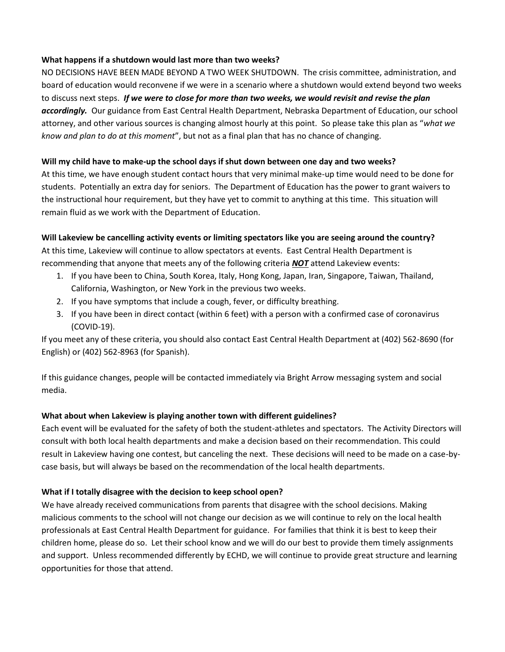## **What happens if a shutdown would last more than two weeks?**

NO DECISIONS HAVE BEEN MADE BEYOND A TWO WEEK SHUTDOWN. The crisis committee, administration, and board of education would reconvene if we were in a scenario where a shutdown would extend beyond two weeks to discuss next steps. *If we were to close for more than two weeks, we would revisit and revise the plan accordingly.* Our guidance from East Central Health Department, Nebraska Department of Education, our school attorney, and other various sources is changing almost hourly at this point. So please take this plan as "*what we know and plan to do at this moment*", but not as a final plan that has no chance of changing.

## **Will my child have to make-up the school days if shut down between one day and two weeks?**

At this time, we have enough student contact hours that very minimal make-up time would need to be done for students. Potentially an extra day for seniors. The Department of Education has the power to grant waivers to the instructional hour requirement, but they have yet to commit to anything at this time. This situation will remain fluid as we work with the Department of Education.

## **Will Lakeview be cancelling activity events or limiting spectators like you are seeing around the country?**

At this time, Lakeview will continue to allow spectators at events. East Central Health Department is recommending that anyone that meets any of the following criteria *NOT* attend Lakeview events:

- 1. If you have been to China, South Korea, Italy, Hong Kong, Japan, Iran, Singapore, Taiwan, Thailand, California, Washington, or New York in the previous two weeks.
- 2. If you have symptoms that include a cough, fever, or difficulty breathing.
- 3. If you have been in direct contact (within 6 feet) with a person with a confirmed case of coronavirus (COVID-19).

If you meet any of these criteria, you should also contact East Central Health Department at (402) 562-8690 (for English) or (402) 562-8963 (for Spanish).

If this guidance changes, people will be contacted immediately via Bright Arrow messaging system and social media.

# **What about when Lakeview is playing another town with different guidelines?**

Each event will be evaluated for the safety of both the student-athletes and spectators. The Activity Directors will consult with both local health departments and make a decision based on their recommendation. This could result in Lakeview having one contest, but canceling the next. These decisions will need to be made on a case-bycase basis, but will always be based on the recommendation of the local health departments.

# **What if I totally disagree with the decision to keep school open?**

We have already received communications from parents that disagree with the school decisions. Making malicious comments to the school will not change our decision as we will continue to rely on the local health professionals at East Central Health Department for guidance. For families that think it is best to keep their children home, please do so. Let their school know and we will do our best to provide them timely assignments and support. Unless recommended differently by ECHD, we will continue to provide great structure and learning opportunities for those that attend.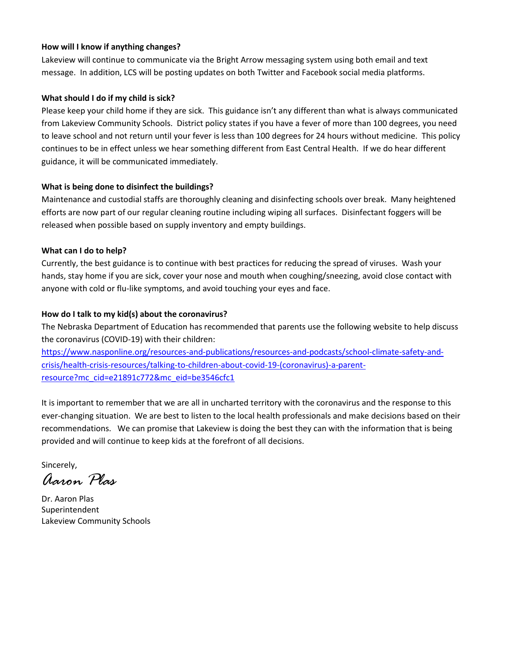#### **How will I know if anything changes?**

Lakeview will continue to communicate via the Bright Arrow messaging system using both email and text message. In addition, LCS will be posting updates on both Twitter and Facebook social media platforms.

## **What should I do if my child is sick?**

Please keep your child home if they are sick. This guidance isn't any different than what is always communicated from Lakeview Community Schools. District policy states if you have a fever of more than 100 degrees, you need to leave school and not return until your fever is less than 100 degrees for 24 hours without medicine. This policy continues to be in effect unless we hear something different from East Central Health. If we do hear different guidance, it will be communicated immediately.

## **What is being done to disinfect the buildings?**

Maintenance and custodial staffs are thoroughly cleaning and disinfecting schools over break. Many heightened efforts are now part of our regular cleaning routine including wiping all surfaces. Disinfectant foggers will be released when possible based on supply inventory and empty buildings.

## **What can I do to help?**

Currently, the best guidance is to continue with best practices for reducing the spread of viruses. Wash your hands, stay home if you are sick, cover your nose and mouth when coughing/sneezing, avoid close contact with anyone with cold or flu-like symptoms, and avoid touching your eyes and face.

## **How do I talk to my kid(s) about the coronavirus?**

The Nebraska Department of Education has recommended that parents use the following website to help discuss the coronavirus (COVID-19) with their children:

[https://www.nasponline.org/resources-and-publications/resources-and-podcasts/school-climate-safety-and](https://www.nasponline.org/resources-and-publications/resources-and-podcasts/school-climate-safety-and-crisis/health-crisis-resources/talking-to-children-about-covid-19-(coronavirus)-a-parent-resource?mc_cid=e21891c772&mc_eid=be3546cfc1)[crisis/health-crisis-resources/talking-to-children-about-covid-19-\(coronavirus\)-a-parent](https://www.nasponline.org/resources-and-publications/resources-and-podcasts/school-climate-safety-and-crisis/health-crisis-resources/talking-to-children-about-covid-19-(coronavirus)-a-parent-resource?mc_cid=e21891c772&mc_eid=be3546cfc1)[resource?mc\\_cid=e21891c772&mc\\_eid=be3546cfc1](https://www.nasponline.org/resources-and-publications/resources-and-podcasts/school-climate-safety-and-crisis/health-crisis-resources/talking-to-children-about-covid-19-(coronavirus)-a-parent-resource?mc_cid=e21891c772&mc_eid=be3546cfc1)

It is important to remember that we are all in uncharted territory with the coronavirus and the response to this ever-changing situation. We are best to listen to the local health professionals and make decisions based on their recommendations. We can promise that Lakeview is doing the best they can with the information that is being provided and will continue to keep kids at the forefront of all decisions.

Sincerely,

*Aaron Plas*

Dr. Aaron Plas Superintendent Lakeview Community Schools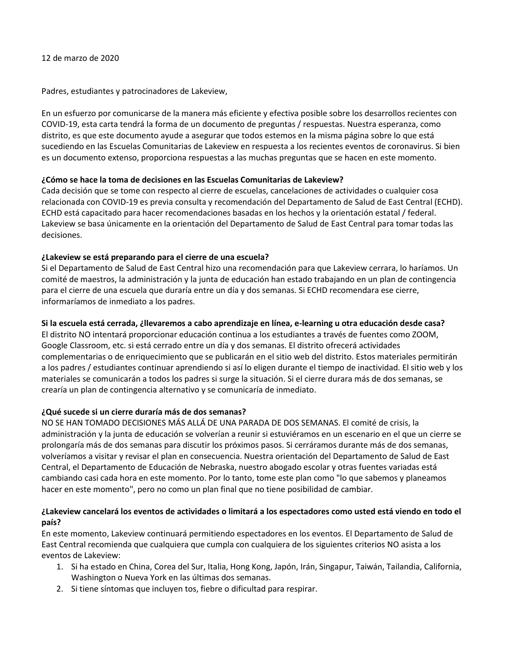12 de marzo de 2020

Padres, estudiantes y patrocinadores de Lakeview,

En un esfuerzo por comunicarse de la manera más eficiente y efectiva posible sobre los desarrollos recientes con COVID-19, esta carta tendrá la forma de un documento de preguntas / respuestas. Nuestra esperanza, como distrito, es que este documento ayude a asegurar que todos estemos en la misma página sobre lo que está sucediendo en las Escuelas Comunitarias de Lakeview en respuesta a los recientes eventos de coronavirus. Si bien es un documento extenso, proporciona respuestas a las muchas preguntas que se hacen en este momento.

## **¿Cómo se hace la toma de decisiones en las Escuelas Comunitarias de Lakeview?**

Cada decisión que se tome con respecto al cierre de escuelas, cancelaciones de actividades o cualquier cosa relacionada con COVID-19 es previa consulta y recomendación del Departamento de Salud de East Central (ECHD). ECHD está capacitado para hacer recomendaciones basadas en los hechos y la orientación estatal / federal. Lakeview se basa únicamente en la orientación del Departamento de Salud de East Central para tomar todas las decisiones.

# **¿Lakeview se está preparando para el cierre de una escuela?**

Si el Departamento de Salud de East Central hizo una recomendación para que Lakeview cerrara, lo haríamos. Un comité de maestros, la administración y la junta de educación han estado trabajando en un plan de contingencia para el cierre de una escuela que duraría entre un día y dos semanas. Si ECHD recomendara ese cierre, informaríamos de inmediato a los padres.

# **Si la escuela está cerrada, ¿llevaremos a cabo aprendizaje en línea, e-learning u otra educación desde casa?**

El distrito NO intentará proporcionar educación continua a los estudiantes a través de fuentes como ZOOM, Google Classroom, etc. si está cerrado entre un día y dos semanas. El distrito ofrecerá actividades complementarias o de enriquecimiento que se publicarán en el sitio web del distrito. Estos materiales permitirán a los padres / estudiantes continuar aprendiendo si así lo eligen durante el tiempo de inactividad. El sitio web y los materiales se comunicarán a todos los padres si surge la situación. Si el cierre durara más de dos semanas, se crearía un plan de contingencia alternativo y se comunicaría de inmediato.

# **¿Qué sucede si un cierre duraría más de dos semanas?**

NO SE HAN TOMADO DECISIONES MÁS ALLÁ DE UNA PARADA DE DOS SEMANAS. El comité de crisis, la administración y la junta de educación se volverían a reunir si estuviéramos en un escenario en el que un cierre se prolongaría más de dos semanas para discutir los próximos pasos. Si cerráramos durante más de dos semanas, volveríamos a visitar y revisar el plan en consecuencia. Nuestra orientación del Departamento de Salud de East Central, el Departamento de Educación de Nebraska, nuestro abogado escolar y otras fuentes variadas está cambiando casi cada hora en este momento. Por lo tanto, tome este plan como "lo que sabemos y planeamos hacer en este momento", pero no como un plan final que no tiene posibilidad de cambiar.

# **¿Lakeview cancelará los eventos de actividades o limitará a los espectadores como usted está viendo en todo el país?**

En este momento, Lakeview continuará permitiendo espectadores en los eventos. El Departamento de Salud de East Central recomienda que cualquiera que cumpla con cualquiera de los siguientes criterios NO asista a los eventos de Lakeview:

- 1. Si ha estado en China, Corea del Sur, Italia, Hong Kong, Japón, Irán, Singapur, Taiwán, Tailandia, California, Washington o Nueva York en las últimas dos semanas.
- 2. Si tiene síntomas que incluyen tos, fiebre o dificultad para respirar.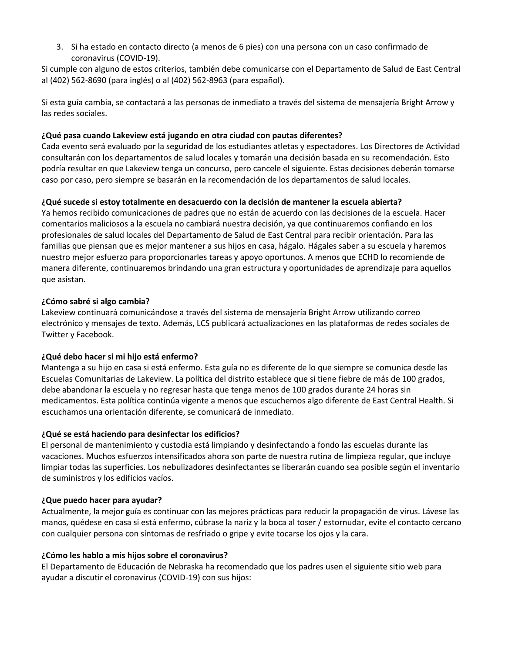3. Si ha estado en contacto directo (a menos de 6 pies) con una persona con un caso confirmado de coronavirus (COVID-19).

Si cumple con alguno de estos criterios, también debe comunicarse con el Departamento de Salud de East Central al (402) 562-8690 (para inglés) o al (402) 562-8963 (para español).

Si esta guía cambia, se contactará a las personas de inmediato a través del sistema de mensajería Bright Arrow y las redes sociales.

## **¿Qué pasa cuando Lakeview está jugando en otra ciudad con pautas diferentes?**

Cada evento será evaluado por la seguridad de los estudiantes atletas y espectadores. Los Directores de Actividad consultarán con los departamentos de salud locales y tomarán una decisión basada en su recomendación. Esto podría resultar en que Lakeview tenga un concurso, pero cancele el siguiente. Estas decisiones deberán tomarse caso por caso, pero siempre se basarán en la recomendación de los departamentos de salud locales.

# **¿Qué sucede si estoy totalmente en desacuerdo con la decisión de mantener la escuela abierta?**

Ya hemos recibido comunicaciones de padres que no están de acuerdo con las decisiones de la escuela. Hacer comentarios maliciosos a la escuela no cambiará nuestra decisión, ya que continuaremos confiando en los profesionales de salud locales del Departamento de Salud de East Central para recibir orientación. Para las familias que piensan que es mejor mantener a sus hijos en casa, hágalo. Hágales saber a su escuela y haremos nuestro mejor esfuerzo para proporcionarles tareas y apoyo oportunos. A menos que ECHD lo recomiende de manera diferente, continuaremos brindando una gran estructura y oportunidades de aprendizaje para aquellos que asistan.

#### **¿Cómo sabré si algo cambia?**

Lakeview continuará comunicándose a través del sistema de mensajería Bright Arrow utilizando correo electrónico y mensajes de texto. Además, LCS publicará actualizaciones en las plataformas de redes sociales de Twitter y Facebook.

#### **¿Qué debo hacer si mi hijo está enfermo?**

Mantenga a su hijo en casa si está enfermo. Esta guía no es diferente de lo que siempre se comunica desde las Escuelas Comunitarias de Lakeview. La política del distrito establece que si tiene fiebre de más de 100 grados, debe abandonar la escuela y no regresar hasta que tenga menos de 100 grados durante 24 horas sin medicamentos. Esta política continúa vigente a menos que escuchemos algo diferente de East Central Health. Si escuchamos una orientación diferente, se comunicará de inmediato.

#### **¿Qué se está haciendo para desinfectar los edificios?**

El personal de mantenimiento y custodia está limpiando y desinfectando a fondo las escuelas durante las vacaciones. Muchos esfuerzos intensificados ahora son parte de nuestra rutina de limpieza regular, que incluye limpiar todas las superficies. Los nebulizadores desinfectantes se liberarán cuando sea posible según el inventario de suministros y los edificios vacíos.

#### **¿Que puedo hacer para ayudar?**

Actualmente, la mejor guía es continuar con las mejores prácticas para reducir la propagación de virus. Lávese las manos, quédese en casa si está enfermo, cúbrase la nariz y la boca al toser / estornudar, evite el contacto cercano con cualquier persona con síntomas de resfriado o gripe y evite tocarse los ojos y la cara.

#### **¿Cómo les hablo a mis hijos sobre el coronavirus?**

El Departamento de Educación de Nebraska ha recomendado que los padres usen el siguiente sitio web para ayudar a discutir el coronavirus (COVID-19) con sus hijos: